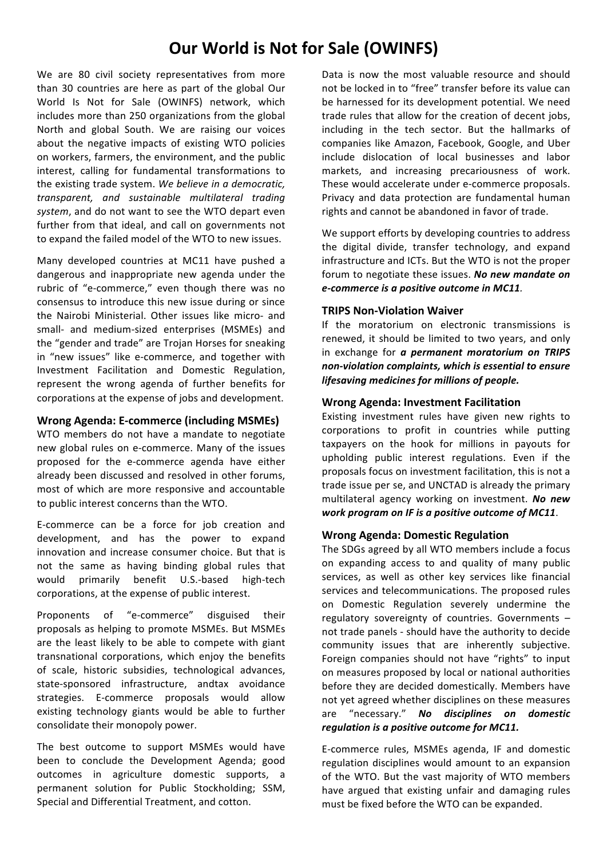# **Our World is Not for Sale (OWINFS)**

We are 80 civil society representatives from more than 30 countries are here as part of the global Our World Is Not for Sale (OWINFS) network, which includes more than 250 organizations from the global North and global South. We are raising our voices about the negative impacts of existing WTO policies on workers, farmers, the environment, and the public interest, calling for fundamental transformations to the existing trade system. We believe in a democratic, *transparent, and sustainable multilateral trading*  system, and do not want to see the WTO depart even further from that ideal, and call on governments not to expand the failed model of the WTO to new issues.

Many developed countries at MC11 have pushed a dangerous and inappropriate new agenda under the rubric of "e-commerce," even though there was no consensus to introduce this new issue during or since the Nairobi Ministerial. Other issues like micro- and small- and medium-sized enterprises (MSMEs) and the "gender and trade" are Trojan Horses for sneaking in "new issues" like e-commerce, and together with Investment Facilitation and Domestic Regulation, represent the wrong agenda of further benefits for corporations at the expense of jobs and development.

## **Wrong Agenda: E-commerce (including MSMEs)**

WTO members do not have a mandate to negotiate new global rules on e-commerce. Many of the issues proposed for the e-commerce agenda have either already been discussed and resolved in other forums, most of which are more responsive and accountable to public interest concerns than the WTO.

E-commerce can be a force for job creation and development, and has the power to expand innovation and increase consumer choice. But that is not the same as having binding global rules that would primarily benefit U.S.-based high-tech corporations, at the expense of public interest.

Proponents of "e-commerce" disguised their proposals as helping to promote MSMEs. But MSMEs are the least likely to be able to compete with giant transnational corporations, which enjoy the benefits of scale, historic subsidies, technological advances, state-sponsored infrastructure, andtax avoidance strategies. E-commerce proposals would allow existing technology giants would be able to further consolidate their monopoly power.

The best outcome to support MSMEs would have been to conclude the Development Agenda; good outcomes in agriculture domestic supports, a permanent solution for Public Stockholding; SSM, Special and Differential Treatment, and cotton.

Data is now the most valuable resource and should not be locked in to "free" transfer before its value can be harnessed for its development potential. We need trade rules that allow for the creation of decent jobs, including in the tech sector. But the hallmarks of companies like Amazon, Facebook, Google, and Uber include dislocation of local businesses and labor markets, and increasing precariousness of work. These would accelerate under e-commerce proposals. Privacy and data protection are fundamental human rights and cannot be abandoned in favor of trade.

We support efforts by developing countries to address the digital divide, transfer technology, and expand infrastructure and ICTs. But the WTO is not the proper forum to negotiate these issues. *No new mandate on e-commerce is a positive outcome in MC11.* 

## **TRIPS Non-Violation Waiver**

If the moratorium on electronic transmissions is renewed, it should be limited to two years, and only in exchange for *a permanent moratorium* on *TRIPS non-violation complaints, which is essential to ensure lifesaving medicines for millions of people.*

## **Wrong Agenda: Investment Facilitation**

Existing investment rules have given new rights to corporations to profit in countries while putting taxpayers on the hook for millions in payouts for upholding public interest regulations. Even if the proposals focus on investment facilitation, this is not a trade issue per se, and UNCTAD is already the primary multilateral agency working on investment. *No new work program on IF is a positive outcome of MC11*.

#### **Wrong Agenda: Domestic Regulation**

The SDGs agreed by all WTO members include a focus on expanding access to and quality of many public services, as well as other key services like financial services and telecommunications. The proposed rules on Domestic Regulation severely undermine the regulatory sovereignty of countries. Governments  $$ not trade panels - should have the authority to decide community issues that are inherently subjective. Foreign companies should not have "rights" to input on measures proposed by local or national authorities before they are decided domestically. Members have not yet agreed whether disciplines on these measures are "necessary." *No disciplines on domestic regulation is a positive outcome for MC11.* 

E-commerce rules, MSMEs agenda, IF and domestic regulation disciplines would amount to an expansion of the WTO. But the vast majority of WTO members have argued that existing unfair and damaging rules must be fixed before the WTO can be expanded.